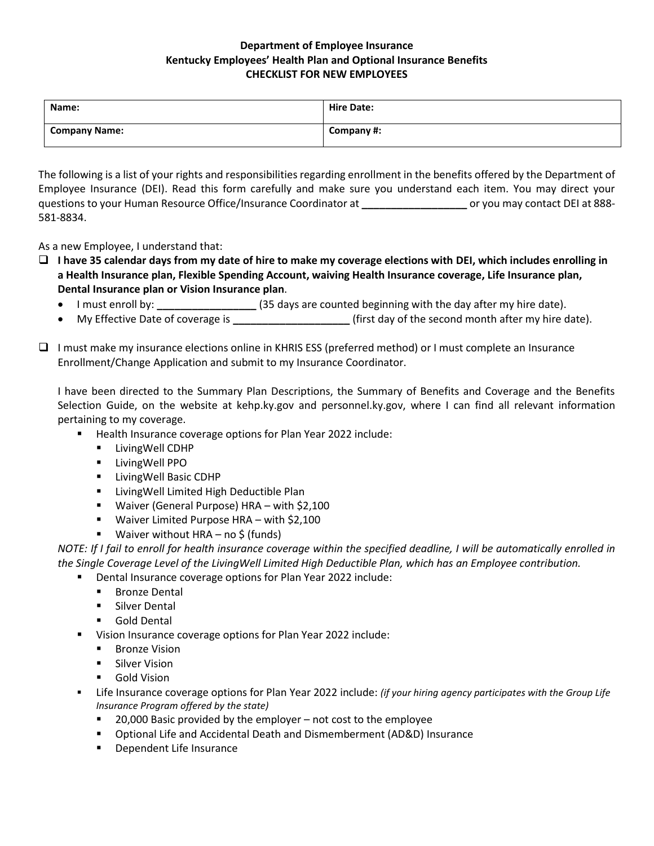## **Department of Employee Insurance Kentucky Employees' Health Plan and Optional Insurance Benefits CHECKLIST FOR NEW EMPLOYEES**

| Name:                | <b>Hire Date:</b> |
|----------------------|-------------------|
| <b>Company Name:</b> | Company #:        |

The following is a list of your rights and responsibilities regarding enrollment in the benefits offered by the Department of Employee Insurance (DEI). Read this form carefully and make sure you understand each item. You may direct your questions to your Human Resource Office/Insurance Coordinator at **\_\_\_\_\_\_\_\_\_\_\_\_\_\_\_\_\_\_** or you may contact DEI at 888- 581-8834.

As a new Employee, I understand that:

- ❑ **I have 35 calendar days from my date of hire to make my coverage elections with DEI, which includes enrolling in a Health Insurance plan, Flexible Spending Account, waiving Health Insurance coverage, Life Insurance plan, Dental Insurance plan or Vision Insurance plan**.
	- I must enroll by: **\_\_\_\_\_\_\_\_\_\_\_\_\_\_\_\_\_** (35 days are counted beginning with the day after my hire date).
	- My Effective Date of coverage is **\_\_\_\_\_\_\_\_\_\_\_\_\_\_\_\_\_\_\_\_** (first day of the second month after my hire date).
- ❑ I must make my insurance elections online in KHRIS ESS (preferred method) or I must complete an Insurance Enrollment/Change Application and submit to my Insurance Coordinator.

I have been directed to the Summary Plan Descriptions, the Summary of Benefits and Coverage and the Benefits Selection Guide, on the website at kehp.ky.gov and personnel.ky.gov, where I can find all relevant information pertaining to my coverage.

- Health Insurance coverage options for Plan Year 2022 include:
	- **E** LivingWell CDHP
	- LivingWell PPO
	- **E** LivingWell Basic CDHP
	- **E** LivingWell Limited High Deductible Plan
	- Waiver (General Purpose) HRA with \$2,100
	- Waiver Limited Purpose HRA with \$2,100
	- **■** Waiver without HRA no \$ (funds)

*NOTE: If I fail to enroll for health insurance coverage within the specified deadline, I will be automatically enrolled in the Single Coverage Level of the LivingWell Limited High Deductible Plan, which has an Employee contribution.*

- Dental Insurance coverage options for Plan Year 2022 include:
	- Bronze Dental
	- Silver Dental
	- Gold Dental
- Vision Insurance coverage options for Plan Year 2022 include:
	- Bronze Vision
	- Silver Vision
	- Gold Vision
- Life Insurance coverage options for Plan Year 2022 include: *(if your hiring agency participates with the Group Life Insurance Program offered by the state)*
	- $20,000$  Basic provided by the employer not cost to the employee
	- Optional Life and Accidental Death and Dismemberment (AD&D) Insurance
	- Dependent Life Insurance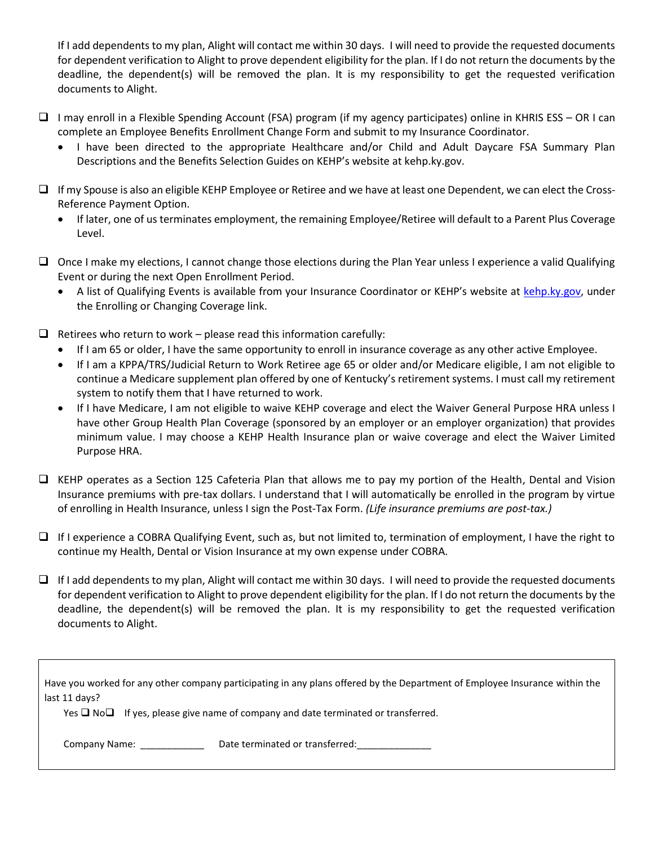If I add dependents to my plan, Alight will contact me within 30 days. I will need to provide the requested documents for dependent verification to Alight to prove dependent eligibility for the plan. If I do not return the documents by the deadline, the dependent(s) will be removed the plan. It is my responsibility to get the requested verification documents to Alight.

- ❑ I may enroll in a Flexible Spending Account (FSA) program (if my agency participates) online in KHRIS ESS OR I can complete an Employee Benefits Enrollment Change Form and submit to my Insurance Coordinator.
	- I have been directed to the appropriate Healthcare and/or Child and Adult Daycare FSA Summary Plan Descriptions and the Benefits Selection Guides on KEHP's website at kehp.ky.gov.
- ❑ If my Spouse is also an eligible KEHP Employee or Retiree and we have at least one Dependent, we can elect the Cross-Reference Payment Option.
	- If later, one of us terminates employment, the remaining Employee/Retiree will default to a Parent Plus Coverage Level.
- ❑ Once I make my elections, I cannot change those elections during the Plan Year unless I experience a valid Qualifying Event or during the next Open Enrollment Period.
	- A list of Qualifying Events is available from your Insurance Coordinator or KEHP's website at [kehp.ky.gov,](https://personnel.ky.gov/Pages/Howtoenroll.aspx) under the Enrolling or Changing Coverage link.
- $\Box$  Retirees who return to work please read this information carefully:
	- If I am 65 or older, I have the same opportunity to enroll in insurance coverage as any other active Employee.
	- If I am a KPPA/TRS/Judicial Return to Work Retiree age 65 or older and/or Medicare eligible, I am not eligible to continue a Medicare supplement plan offered by one of Kentucky's retirement systems. I must call my retirement system to notify them that I have returned to work.
	- If I have Medicare, I am not eligible to waive KEHP coverage and elect the Waiver General Purpose HRA unless I have other Group Health Plan Coverage (sponsored by an employer or an employer organization) that provides minimum value. I may choose a KEHP Health Insurance plan or waive coverage and elect the Waiver Limited Purpose HRA.
- ❑ KEHP operates as a Section 125 Cafeteria Plan that allows me to pay my portion of the Health, Dental and Vision Insurance premiums with pre-tax dollars. I understand that I will automatically be enrolled in the program by virtue of enrolling in Health Insurance, unless I sign the Post-Tax Form. *(Life insurance premiums are post-tax.)*
- ❑ If I experience a COBRA Qualifying Event, such as, but not limited to, termination of employment, I have the right to continue my Health, Dental or Vision Insurance at my own expense under COBRA.
- $\Box$  If I add dependents to my plan, Alight will contact me within 30 days. I will need to provide the requested documents for dependent verification to Alight to prove dependent eligibility for the plan. If I do not return the documents by the deadline, the dependent(s) will be removed the plan. It is my responsibility to get the requested verification documents to Alight.

| Have you worked for any other company participating in any plans offered by the Department of Employee Insurance within the<br>last 11 days? |                                 |
|----------------------------------------------------------------------------------------------------------------------------------------------|---------------------------------|
| Yes $\Box$ No $\Box$ If yes, please give name of company and date terminated or transferred.                                                 |                                 |
| Company Name:                                                                                                                                | Date terminated or transferred: |